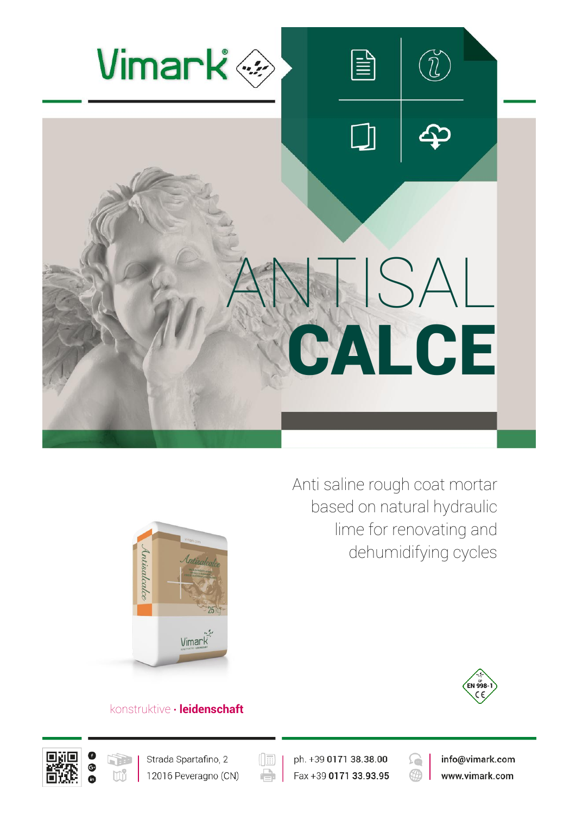



Anti saline rough coat mortar based on natural hydraulic lime for renovating and dehumidifying cycles



# konstruktive **∙ leidenschaft**





 $(\boxed{\mathbb{H}}$ e

ph. +39 0171 38.38.00 Fax +39 0171 33.93.95



info@vimark.com www.vimark.com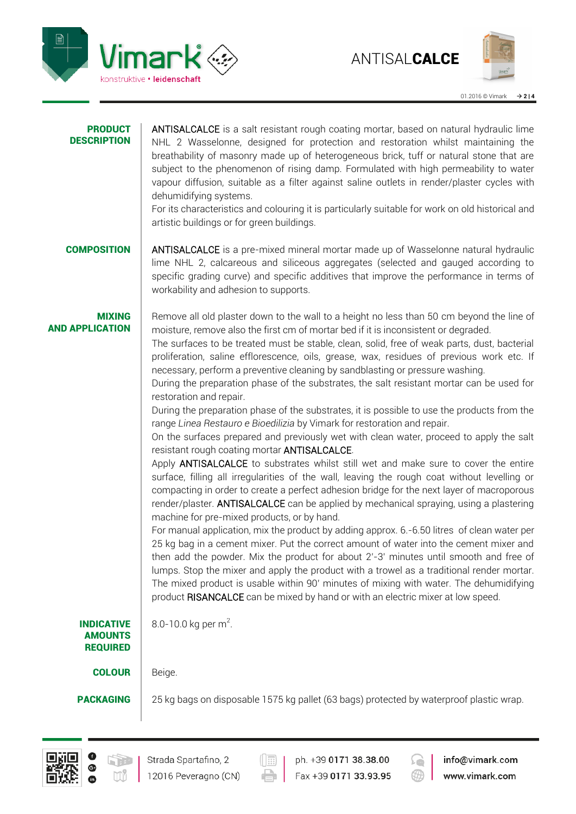



## PRODUCT **DESCRIPTION** ANTISALCALCE is a salt resistant rough coating mortar, based on natural hydraulic lime NHL 2 Wasselonne, designed for protection and restoration whilst maintaining the breathability of masonry made up of heterogeneous brick, tuff or natural stone that are subject to the phenomenon of rising damp. Formulated with high permeability to water vapour diffusion, suitable as a filter against saline outlets in render/plaster cycles with dehumidifying systems. For its characteristics and colouring it is particularly suitable for work on old historical and artistic buildings or for green buildings. **COMPOSITION** ANTISALCALCE is a pre-mixed mineral mortar made up of Wasselonne natural hydraulic lime NHL 2, calcareous and siliceous aggregates (selected and gauged according to specific grading curve) and specific additives that improve the performance in terms of workability and adhesion to supports. MIXING AND APPLICATION Remove all old plaster down to the wall to a height no less than 50 cm beyond the line of moisture, remove also the first cm of mortar bed if it is inconsistent or degraded. The surfaces to be treated must be stable, clean, solid, free of weak parts, dust, bacterial proliferation, saline efflorescence, oils, grease, wax, residues of previous work etc. If necessary, perform a preventive cleaning by sandblasting or pressure washing. During the preparation phase of the substrates, the salt resistant mortar can be used for restoration and repair. During the preparation phase of the substrates, it is possible to use the products from the range *Linea Restauro e Bioedilizia* by Vimark for restoration and repair. On the surfaces prepared and previously wet with clean water, proceed to apply the salt resistant rough coating mortar ANTISALCALCE. Apply **ANTISALCALCE** to substrates whilst still wet and make sure to cover the entire surface, filling all irregularities of the wall, leaving the rough coat without levelling or compacting in order to create a perfect adhesion bridge for the next layer of macroporous render/plaster. ANTISALCALCE can be applied by mechanical spraying, using a plastering machine for pre-mixed products, or by hand. For manual application, mix the product by adding approx. 6.-6.50 litres of clean water per 25 kg bag in a cement mixer. Put the correct amount of water into the cement mixer and then add the powder. Mix the product for about 2'-3' minutes until smooth and free of lumps. Stop the mixer and apply the product with a trowel as a traditional render mortar. The mixed product is usable within 90' minutes of mixing with water. The dehumidifying product RISANCALCE can be mixed by hand or with an electric mixer at low speed. INDICATIVE AMOUNTS REQUIRED 8.0-10.0 kg per m<sup>2</sup>. **COLOUR** Beige. **PACKAGING** 25 kg bags on disposable 1575 kg pallet (63 bags) protected by waterproof plastic wrap.





ph. +39 0171 38.38.00 Fax +39 0171 33.93.95



info@vimark.com www.vimark.com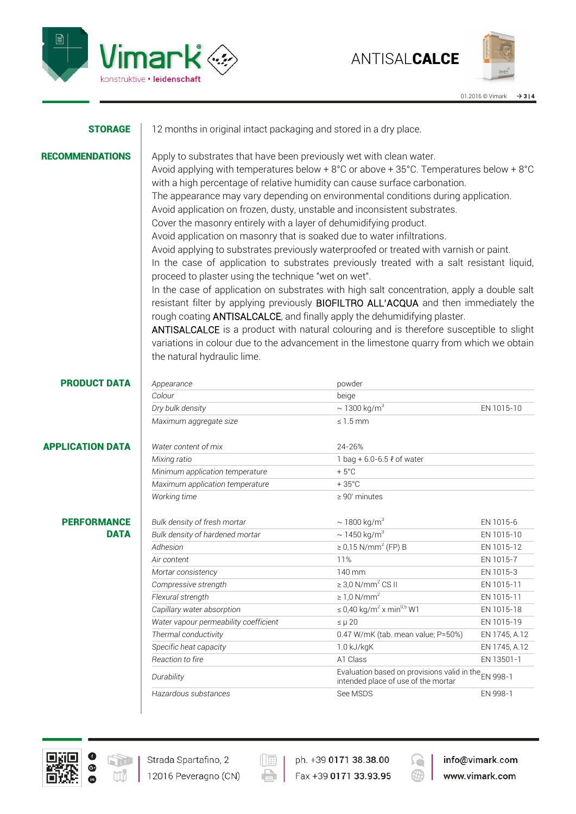



| <b>STORAGE</b>          | 12 months in original intact packaging and stored in a dry place.                                                                                                                                                                                                                                                                                                                                                                                                                                                                                                                                                                                                                                                                                                                                                                                                                                                                                                                                                                                                                                                                                                                                                                                                                                                                                 |                                                       |               |
|-------------------------|---------------------------------------------------------------------------------------------------------------------------------------------------------------------------------------------------------------------------------------------------------------------------------------------------------------------------------------------------------------------------------------------------------------------------------------------------------------------------------------------------------------------------------------------------------------------------------------------------------------------------------------------------------------------------------------------------------------------------------------------------------------------------------------------------------------------------------------------------------------------------------------------------------------------------------------------------------------------------------------------------------------------------------------------------------------------------------------------------------------------------------------------------------------------------------------------------------------------------------------------------------------------------------------------------------------------------------------------------|-------------------------------------------------------|---------------|
| <b>RECOMMENDATIONS</b>  | Apply to substrates that have been previously wet with clean water.<br>Avoid applying with temperatures below + $8^{\circ}$ C or above + $35^{\circ}$ C. Temperatures below + $8^{\circ}$ C<br>with a high percentage of relative humidity can cause surface carbonation.<br>The appearance may vary depending on environmental conditions during application.<br>Avoid application on frozen, dusty, unstable and inconsistent substrates.<br>Cover the masonry entirely with a layer of dehumidifying product.<br>Avoid application on masonry that is soaked due to water infiltrations.<br>Avoid applying to substrates previously waterproofed or treated with varnish or paint.<br>In the case of application to substrates previously treated with a salt resistant liquid,<br>proceed to plaster using the technique "wet on wet".<br>In the case of application on substrates with high salt concentration, apply a double salt<br>resistant filter by applying previously <b>BIOFILTRO ALL'ACQUA</b> and then immediately the<br>rough coating <b>ANTISALCALCE</b> , and finally apply the dehumidifying plaster.<br>ANTISALCALCE is a product with natural colouring and is therefore susceptible to slight<br>variations in colour due to the advancement in the limestone quarry from which we obtain<br>the natural hydraulic lime. |                                                       |               |
| <b>PRODUCT DATA</b>     | Appearance                                                                                                                                                                                                                                                                                                                                                                                                                                                                                                                                                                                                                                                                                                                                                                                                                                                                                                                                                                                                                                                                                                                                                                                                                                                                                                                                        | powder                                                |               |
|                         | Colour                                                                                                                                                                                                                                                                                                                                                                                                                                                                                                                                                                                                                                                                                                                                                                                                                                                                                                                                                                                                                                                                                                                                                                                                                                                                                                                                            | beige                                                 |               |
|                         | Dry bulk density                                                                                                                                                                                                                                                                                                                                                                                                                                                                                                                                                                                                                                                                                                                                                                                                                                                                                                                                                                                                                                                                                                                                                                                                                                                                                                                                  | $\sim$ 1300 kg/m <sup>3</sup>                         | EN 1015-10    |
|                         | Maximum aggregate size                                                                                                                                                                                                                                                                                                                                                                                                                                                                                                                                                                                                                                                                                                                                                                                                                                                                                                                                                                                                                                                                                                                                                                                                                                                                                                                            | $\leq 1.5$ mm                                         |               |
| <b>APPLICATION DATA</b> | Water content of mix                                                                                                                                                                                                                                                                                                                                                                                                                                                                                                                                                                                                                                                                                                                                                                                                                                                                                                                                                                                                                                                                                                                                                                                                                                                                                                                              | 24-26%                                                |               |
|                         | Mixing ratio                                                                                                                                                                                                                                                                                                                                                                                                                                                                                                                                                                                                                                                                                                                                                                                                                                                                                                                                                                                                                                                                                                                                                                                                                                                                                                                                      | 1 bag + 6.0-6.5 ℓ of water                            |               |
|                         | Minimum application temperature                                                                                                                                                                                                                                                                                                                                                                                                                                                                                                                                                                                                                                                                                                                                                                                                                                                                                                                                                                                                                                                                                                                                                                                                                                                                                                                   | $+5^{\circ}$ C                                        |               |
|                         | Maximum application temperature                                                                                                                                                                                                                                                                                                                                                                                                                                                                                                                                                                                                                                                                                                                                                                                                                                                                                                                                                                                                                                                                                                                                                                                                                                                                                                                   | $+35^{\circ}$ C                                       |               |
|                         | Working time                                                                                                                                                                                                                                                                                                                                                                                                                                                                                                                                                                                                                                                                                                                                                                                                                                                                                                                                                                                                                                                                                                                                                                                                                                                                                                                                      | $\geq 90'$ minutes                                    |               |
| <b>PERFORMANCE</b>      | Bulk density of fresh mortar                                                                                                                                                                                                                                                                                                                                                                                                                                                                                                                                                                                                                                                                                                                                                                                                                                                                                                                                                                                                                                                                                                                                                                                                                                                                                                                      | $\sim$ 1800 kg/m <sup>3</sup>                         | EN 1015-6     |
| <b>DATA</b>             | Bulk density of hardened mortar                                                                                                                                                                                                                                                                                                                                                                                                                                                                                                                                                                                                                                                                                                                                                                                                                                                                                                                                                                                                                                                                                                                                                                                                                                                                                                                   | $\sim$ 1450 kg/m <sup>3</sup>                         | EN 1015-10    |
|                         | Adhesion                                                                                                                                                                                                                                                                                                                                                                                                                                                                                                                                                                                                                                                                                                                                                                                                                                                                                                                                                                                                                                                                                                                                                                                                                                                                                                                                          | $\geq 0.15$ N/mm <sup>2</sup> (FP) B                  | EN 1015-12    |
|                         | Air content                                                                                                                                                                                                                                                                                                                                                                                                                                                                                                                                                                                                                                                                                                                                                                                                                                                                                                                                                                                                                                                                                                                                                                                                                                                                                                                                       | 11%                                                   | EN 1015-7     |
|                         | Mortar consistency                                                                                                                                                                                                                                                                                                                                                                                                                                                                                                                                                                                                                                                                                                                                                                                                                                                                                                                                                                                                                                                                                                                                                                                                                                                                                                                                | 140 mm                                                | EN 1015-3     |
|                         | Compressive strength                                                                                                                                                                                                                                                                                                                                                                                                                                                                                                                                                                                                                                                                                                                                                                                                                                                                                                                                                                                                                                                                                                                                                                                                                                                                                                                              | $\geq$ 3,0 N/mm <sup>2</sup> CS II                    | EN 1015-11    |
|                         | Flexural strength                                                                                                                                                                                                                                                                                                                                                                                                                                                                                                                                                                                                                                                                                                                                                                                                                                                                                                                                                                                                                                                                                                                                                                                                                                                                                                                                 | $\geq 1.0$ N/mm <sup>2</sup>                          | EN 1015-11    |
|                         | Capillary water absorption                                                                                                                                                                                                                                                                                                                                                                                                                                                                                                                                                                                                                                                                                                                                                                                                                                                                                                                                                                                                                                                                                                                                                                                                                                                                                                                        | $\leq$ 0,40 kg/m <sup>2</sup> x min <sup>0,5</sup> W1 | EN 1015-18    |
|                         | Water vapour permeability coefficient                                                                                                                                                                                                                                                                                                                                                                                                                                                                                                                                                                                                                                                                                                                                                                                                                                                                                                                                                                                                                                                                                                                                                                                                                                                                                                             | $\leq \mu 20$                                         | EN 1015-19    |
|                         | Thermal conductivity                                                                                                                                                                                                                                                                                                                                                                                                                                                                                                                                                                                                                                                                                                                                                                                                                                                                                                                                                                                                                                                                                                                                                                                                                                                                                                                              | 0.47 W/mK (tab. mean value; P=50%)                    | EN 1745, A.12 |
|                         | Specific heat capacity                                                                                                                                                                                                                                                                                                                                                                                                                                                                                                                                                                                                                                                                                                                                                                                                                                                                                                                                                                                                                                                                                                                                                                                                                                                                                                                            | 1.0 kJ/kgK                                            | EN 1745, A.12 |
|                         | Reaction to fire                                                                                                                                                                                                                                                                                                                                                                                                                                                                                                                                                                                                                                                                                                                                                                                                                                                                                                                                                                                                                                                                                                                                                                                                                                                                                                                                  | A1 Class                                              | EN 13501-1    |

*Durability* Evaluation based on provisions valid in the intended place of use of the mortar EN 998-1 **Hazardous substances** EN 998-1



 $(\boxed{\mathbb{R}}$ 

ph. +39 0171 38.38.00 Fax +39 0171 33.93.95